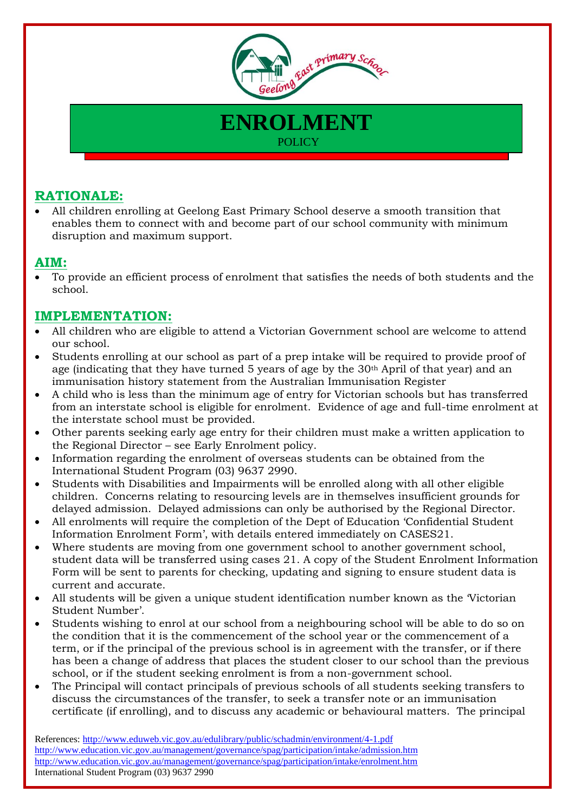

**ENROLMENT**

**POLICY** 

## **RATIONALE:**

 All children enrolling at Geelong East Primary School deserve a smooth transition that enables them to connect with and become part of our school community with minimum disruption and maximum support.

## **AIM:**

 To provide an efficient process of enrolment that satisfies the needs of both students and the school.

## **IMPLEMENTATION:**

- All children who are eligible to attend a Victorian Government school are welcome to attend our school.
- Students enrolling at our school as part of a prep intake will be required to provide proof of age (indicating that they have turned 5 years of age by the 30<sup>th</sup> April of that year) and an immunisation history statement from the Australian Immunisation Register
- A child who is less than the minimum age of entry for Victorian schools but has transferred from an interstate school is eligible for enrolment. Evidence of age and full-time enrolment at the interstate school must be provided.
- Other parents seeking early age entry for their children must make a written application to the Regional Director – see Early Enrolment policy.
- Information regarding the enrolment of overseas students can be obtained from the International Student Program (03) 9637 2990.
- Students with Disabilities and Impairments will be enrolled along with all other eligible children. Concerns relating to resourcing levels are in themselves insufficient grounds for delayed admission. Delayed admissions can only be authorised by the Regional Director.
- All enrolments will require the completion of the Dept of Education 'Confidential Student Information Enrolment Form', with details entered immediately on CASES21.
- Where students are moving from one government school to another government school, student data will be transferred using cases 21. A copy of the Student Enrolment Information Form will be sent to parents for checking, updating and signing to ensure student data is current and accurate.
- All students will be given a unique student identification number known as the 'Victorian Student Number'.
- Students wishing to enrol at our school from a neighbouring school will be able to do so on the condition that it is the commencement of the school year or the commencement of a term, or if the principal of the previous school is in agreement with the transfer, or if there has been a change of address that places the student closer to our school than the previous school, or if the student seeking enrolment is from a non-government school.
- The Principal will contact principals of previous schools of all students seeking transfers to discuss the circumstances of the transfer, to seek a transfer note or an immunisation certificate (if enrolling), and to discuss any academic or behavioural matters. The principal

References: <http://www.eduweb.vic.gov.au/edulibrary/public/schadmin/environment/4-1.pdf> <http://www.education.vic.gov.au/management/governance/spag/participation/intake/admission.htm> <http://www.education.vic.gov.au/management/governance/spag/participation/intake/enrolment.htm> International Student Program (03) 9637 2990